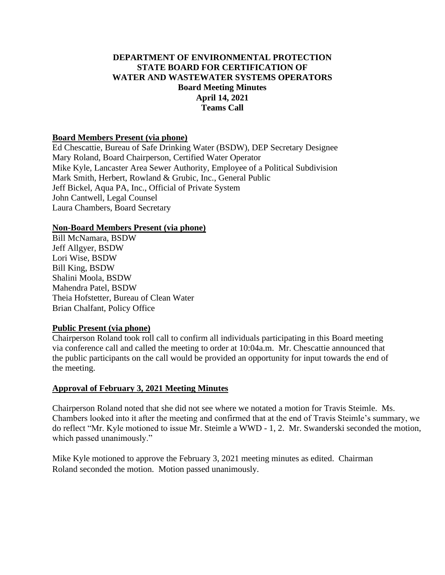# **DEPARTMENT OF ENVIRONMENTAL PROTECTION STATE BOARD FOR CERTIFICATION OF WATER AND WASTEWATER SYSTEMS OPERATORS Board Meeting Minutes April 14, 2021 Teams Call**

#### **Board Members Present (via phone)**

Ed Chescattie, Bureau of Safe Drinking Water (BSDW), DEP Secretary Designee Mary Roland, Board Chairperson, Certified Water Operator Mike Kyle, Lancaster Area Sewer Authority, Employee of a Political Subdivision Mark Smith, Herbert, Rowland & Grubic, Inc., General Public Jeff Bickel, Aqua PA, Inc., Official of Private System John Cantwell, Legal Counsel Laura Chambers, Board Secretary

#### **Non-Board Members Present (via phone)**

Bill McNamara, BSDW Jeff Allgyer, BSDW Lori Wise, BSDW Bill King, BSDW Shalini Moola, BSDW Mahendra Patel, BSDW Theia Hofstetter, Bureau of Clean Water Brian Chalfant, Policy Office

#### **Public Present (via phone)**

Chairperson Roland took roll call to confirm all individuals participating in this Board meeting via conference call and called the meeting to order at 10:04a.m. Mr. Chescattie announced that the public participants on the call would be provided an opportunity for input towards the end of the meeting.

#### **Approval of February 3, 2021 Meeting Minutes**

Chairperson Roland noted that she did not see where we notated a motion for Travis Steimle. Ms. Chambers looked into it after the meeting and confirmed that at the end of Travis Steimle's summary, we do reflect "Mr. Kyle motioned to issue Mr. Steimle a WWD - 1, 2. Mr. Swanderski seconded the motion, which passed unanimously."

Mike Kyle motioned to approve the February 3, 2021 meeting minutes as edited. Chairman Roland seconded the motion. Motion passed unanimously.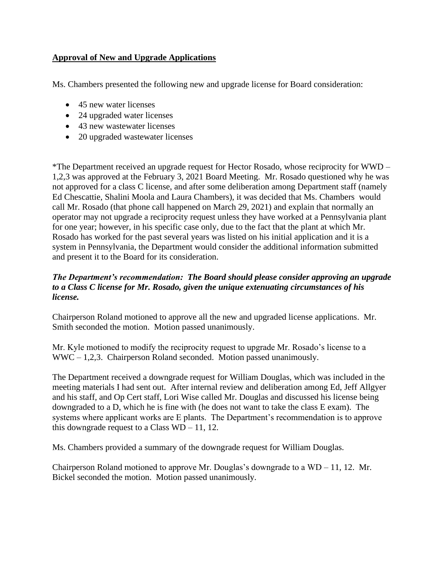# **Approval of New and Upgrade Applications**

Ms. Chambers presented the following new and upgrade license for Board consideration:

- 45 new water licenses
- 24 upgraded water licenses
- 43 new wastewater licenses
- 20 upgraded wastewater licenses

\*The Department received an upgrade request for Hector Rosado, whose reciprocity for WWD – 1,2,3 was approved at the February 3, 2021 Board Meeting. Mr. Rosado questioned why he was not approved for a class C license, and after some deliberation among Department staff (namely Ed Chescattie, Shalini Moola and Laura Chambers), it was decided that Ms. Chambers would call Mr. Rosado (that phone call happened on March 29, 2021) and explain that normally an operator may not upgrade a reciprocity request unless they have worked at a Pennsylvania plant for one year; however, in his specific case only, due to the fact that the plant at which Mr. Rosado has worked for the past several years was listed on his initial application and it is a system in Pennsylvania, the Department would consider the additional information submitted and present it to the Board for its consideration.

# *The Department's recommendation: The Board should please consider approving an upgrade to a Class C license for Mr. Rosado, given the unique extenuating circumstances of his license.*

Chairperson Roland motioned to approve all the new and upgraded license applications. Mr. Smith seconded the motion. Motion passed unanimously.

Mr. Kyle motioned to modify the reciprocity request to upgrade Mr. Rosado's license to a WWC – 1,2,3. Chairperson Roland seconded. Motion passed unanimously.

The Department received a downgrade request for William Douglas, which was included in the meeting materials I had sent out. After internal review and deliberation among Ed, Jeff Allgyer and his staff, and Op Cert staff, Lori Wise called Mr. Douglas and discussed his license being downgraded to a D, which he is fine with (he does not want to take the class E exam). The systems where applicant works are E plants. The Department's recommendation is to approve this downgrade request to a Class  $WD - 11$ , 12.

Ms. Chambers provided a summary of the downgrade request for William Douglas.

Chairperson Roland motioned to approve Mr. Douglas's downgrade to a  $WD - 11$ , 12. Mr. Bickel seconded the motion. Motion passed unanimously.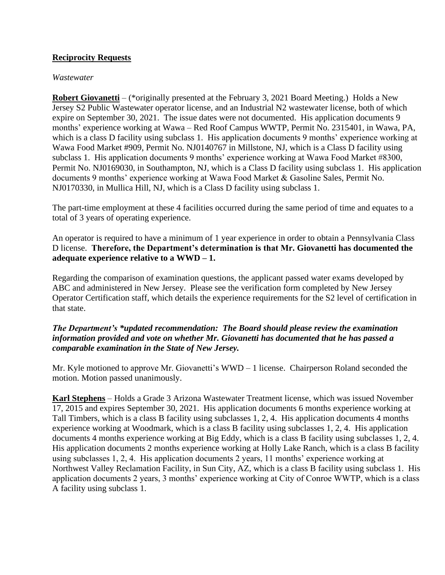## **Reciprocity Requests**

#### *Wastewater*

**Robert Giovanetti** – (\*originally presented at the February 3, 2021 Board Meeting.) Holds a New Jersey S2 Public Wastewater operator license, and an Industrial N2 wastewater license, both of which expire on September 30, 2021. The issue dates were not documented. His application documents 9 months' experience working at Wawa – Red Roof Campus WWTP, Permit No. 2315401, in Wawa, PA, which is a class D facility using subclass 1. His application documents 9 months' experience working at Wawa Food Market #909, Permit No. NJ0140767 in Millstone, NJ, which is a Class D facility using subclass 1. His application documents 9 months' experience working at Wawa Food Market #8300, Permit No. NJ0169030, in Southampton, NJ, which is a Class D facility using subclass 1. His application documents 9 months' experience working at Wawa Food Market & Gasoline Sales, Permit No. NJ0170330, in Mullica Hill, NJ, which is a Class D facility using subclass 1.

The part-time employment at these 4 facilities occurred during the same period of time and equates to a total of 3 years of operating experience.

An operator is required to have a minimum of 1 year experience in order to obtain a Pennsylvania Class D license. **Therefore, the Department's determination is that Mr. Giovanetti has documented the adequate experience relative to a WWD – 1.** 

Regarding the comparison of examination questions, the applicant passed water exams developed by ABC and administered in New Jersey. Please see the verification form completed by New Jersey Operator Certification staff, which details the experience requirements for the S2 level of certification in that state.

# *The Department's \*updated recommendation: The Board should please review the examination information provided and vote on whether Mr. Giovanetti has documented that he has passed a comparable examination in the State of New Jersey.*

Mr. Kyle motioned to approve Mr. Giovanetti's WWD – 1 license. Chairperson Roland seconded the motion. Motion passed unanimously.

**Karl Stephens** – Holds a Grade 3 Arizona Wastewater Treatment license, which was issued November 17, 2015 and expires September 30, 2021. His application documents 6 months experience working at Tall Timbers, which is a class B facility using subclasses 1, 2, 4. His application documents 4 months experience working at Woodmark, which is a class B facility using subclasses 1, 2, 4. His application documents 4 months experience working at Big Eddy, which is a class B facility using subclasses 1, 2, 4. His application documents 2 months experience working at Holly Lake Ranch, which is a class B facility using subclasses 1, 2, 4. His application documents 2 years, 11 months' experience working at Northwest Valley Reclamation Facility, in Sun City, AZ, which is a class B facility using subclass 1. His application documents 2 years, 3 months' experience working at City of Conroe WWTP, which is a class A facility using subclass 1.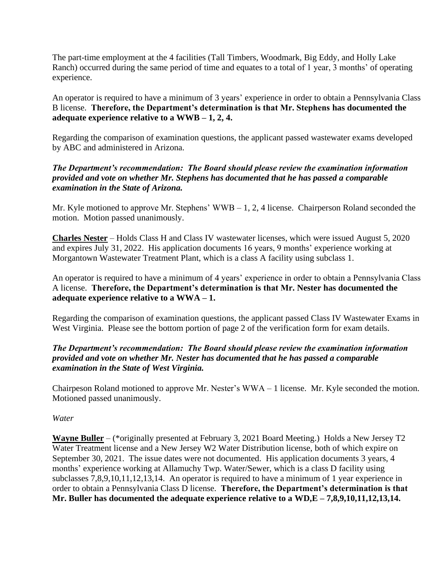The part-time employment at the 4 facilities (Tall Timbers, Woodmark, Big Eddy, and Holly Lake Ranch) occurred during the same period of time and equates to a total of 1 year, 3 months' of operating experience.

An operator is required to have a minimum of 3 years' experience in order to obtain a Pennsylvania Class B license. **Therefore, the Department's determination is that Mr. Stephens has documented the adequate experience relative to a WWB – 1, 2, 4.** 

Regarding the comparison of examination questions, the applicant passed wastewater exams developed by ABC and administered in Arizona.

## *The Department's recommendation: The Board should please review the examination information provided and vote on whether Mr. Stephens has documented that he has passed a comparable examination in the State of Arizona.*

Mr. Kyle motioned to approve Mr. Stephens' WWB – 1, 2, 4 license. Chairperson Roland seconded the motion. Motion passed unanimously.

**Charles Nester** – Holds Class H and Class IV wastewater licenses, which were issued August 5, 2020 and expires July 31, 2022. His application documents 16 years, 9 months' experience working at Morgantown Wastewater Treatment Plant, which is a class A facility using subclass 1.

An operator is required to have a minimum of 4 years' experience in order to obtain a Pennsylvania Class A license. **Therefore, the Department's determination is that Mr. Nester has documented the adequate experience relative to a WWA – 1.** 

Regarding the comparison of examination questions, the applicant passed Class IV Wastewater Exams in West Virginia. Please see the bottom portion of page 2 of the verification form for exam details.

# *The Department's recommendation: The Board should please review the examination information provided and vote on whether Mr. Nester has documented that he has passed a comparable examination in the State of West Virginia.*

Chairpeson Roland motioned to approve Mr. Nester's WWA – 1 license. Mr. Kyle seconded the motion. Motioned passed unanimously.

*Water*

**Wayne Buller** – (\*originally presented at February 3, 2021 Board Meeting.) Holds a New Jersey T2 Water Treatment license and a New Jersey W2 Water Distribution license, both of which expire on September 30, 2021. The issue dates were not documented. His application documents 3 years, 4 months' experience working at Allamuchy Twp. Water/Sewer, which is a class D facility using subclasses 7,8,9,10,11,12,13,14. An operator is required to have a minimum of 1 year experience in order to obtain a Pennsylvania Class D license. **Therefore, the Department's determination is that Mr. Buller has documented the adequate experience relative to a WD,E – 7,8,9,10,11,12,13,14.**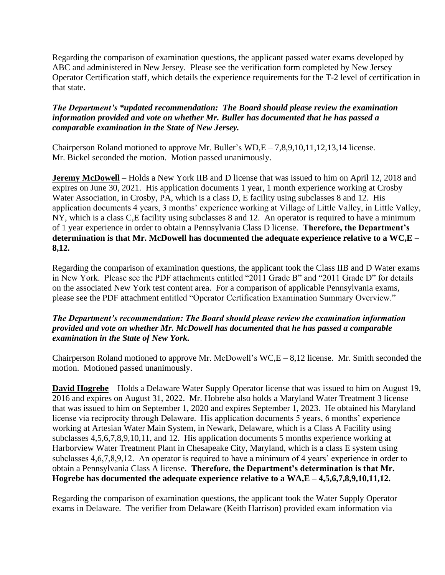Regarding the comparison of examination questions, the applicant passed water exams developed by ABC and administered in New Jersey. Please see the verification form completed by New Jersey Operator Certification staff, which details the experience requirements for the T-2 level of certification in that state.

## *The Department's \*updated recommendation: The Board should please review the examination information provided and vote on whether Mr. Buller has documented that he has passed a comparable examination in the State of New Jersey.*

Chairperson Roland motioned to approve Mr. Buller's WD,E – 7,8,9,10,11,12,13,14 license. Mr. Bickel seconded the motion. Motion passed unanimously.

**Jeremy McDowell** – Holds a New York IIB and D license that was issued to him on April 12, 2018 and expires on June 30, 2021. His application documents 1 year, 1 month experience working at Crosby Water Association, in Crosby, PA, which is a class D, E facility using subclasses 8 and 12. His application documents 4 years, 3 months' experience working at Village of Little Valley, in Little Valley, NY, which is a class C,E facility using subclasses 8 and 12. An operator is required to have a minimum of 1 year experience in order to obtain a Pennsylvania Class D license. **Therefore, the Department's determination is that Mr. McDowell has documented the adequate experience relative to a WC,E – 8,12.** 

Regarding the comparison of examination questions, the applicant took the Class IIB and D Water exams in New York. Please see the PDF attachments entitled "2011 Grade B" and "2011 Grade D" for details on the associated New York test content area. For a comparison of applicable Pennsylvania exams, please see the PDF attachment entitled "Operator Certification Examination Summary Overview."

## *The Department's recommendation: The Board should please review the examination information provided and vote on whether Mr. McDowell has documented that he has passed a comparable examination in the State of New York.*

Chairperson Roland motioned to approve Mr. McDowell's WC,E – 8,12 license. Mr. Smith seconded the motion. Motioned passed unanimously.

**David Hogrebe** – Holds a Delaware Water Supply Operator license that was issued to him on August 19, 2016 and expires on August 31, 2022. Mr. Hobrebe also holds a Maryland Water Treatment 3 license that was issued to him on September 1, 2020 and expires September 1, 2023. He obtained his Maryland license via reciprocity through Delaware. His application documents 5 years, 6 months' experience working at Artesian Water Main System, in Newark, Delaware, which is a Class A Facility using subclasses 4,5,6,7,8,9,10,11, and 12. His application documents 5 months experience working at Harborview Water Treatment Plant in Chesapeake City, Maryland, which is a class E system using subclasses 4,6,7,8,9,12. An operator is required to have a minimum of 4 years' experience in order to obtain a Pennsylvania Class A license. **Therefore, the Department's determination is that Mr. Hogrebe has documented the adequate experience relative to a WA,E – 4,5,6,7,8,9,10,11,12.** 

Regarding the comparison of examination questions, the applicant took the Water Supply Operator exams in Delaware. The verifier from Delaware (Keith Harrison) provided exam information via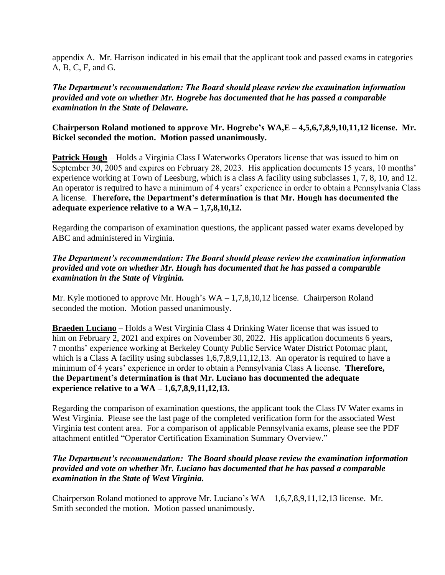appendix A. Mr. Harrison indicated in his email that the applicant took and passed exams in categories A, B, C, F, and G.

## *The Department's recommendation: The Board should please review the examination information provided and vote on whether Mr. Hogrebe has documented that he has passed a comparable examination in the State of Delaware.*

## **Chairperson Roland motioned to approve Mr. Hogrebe's WA,E – 4,5,6,7,8,9,10,11,12 license. Mr. Bickel seconded the motion. Motion passed unanimously.**

**Patrick Hough** – Holds a Virginia Class I Waterworks Operators license that was issued to him on September 30, 2005 and expires on February 28, 2023. His application documents 15 years, 10 months' experience working at Town of Leesburg, which is a class A facility using subclasses 1, 7, 8, 10, and 12. An operator is required to have a minimum of 4 years' experience in order to obtain a Pennsylvania Class A license. **Therefore, the Department's determination is that Mr. Hough has documented the adequate experience relative to a WA – 1,7,8,10,12.** 

Regarding the comparison of examination questions, the applicant passed water exams developed by ABC and administered in Virginia.

# *The Department's recommendation: The Board should please review the examination information provided and vote on whether Mr. Hough has documented that he has passed a comparable examination in the State of Virginia.*

Mr. Kyle motioned to approve Mr. Hough's WA – 1,7,8,10,12 license. Chairperson Roland seconded the motion. Motion passed unanimously.

**Braeden Luciano** – Holds a West Virginia Class 4 Drinking Water license that was issued to him on February 2, 2021 and expires on November 30, 2022. His application documents 6 years, 7 months' experience working at Berkeley County Public Service Water District Potomac plant, which is a Class A facility using subclasses 1,6,7,8,9,11,12,13. An operator is required to have a minimum of 4 years' experience in order to obtain a Pennsylvania Class A license. **Therefore, the Department's determination is that Mr. Luciano has documented the adequate experience relative to a WA – 1,6,7,8,9,11,12,13.**

Regarding the comparison of examination questions, the applicant took the Class IV Water exams in West Virginia. Please see the last page of the completed verification form for the associated West Virginia test content area. For a comparison of applicable Pennsylvania exams, please see the PDF attachment entitled "Operator Certification Examination Summary Overview."

## *The Department's recommendation: The Board should please review the examination information provided and vote on whether Mr. Luciano has documented that he has passed a comparable examination in the State of West Virginia.*

Chairperson Roland motioned to approve Mr. Luciano's WA – 1,6,7,8,9,11,12,13 license. Mr. Smith seconded the motion. Motion passed unanimously.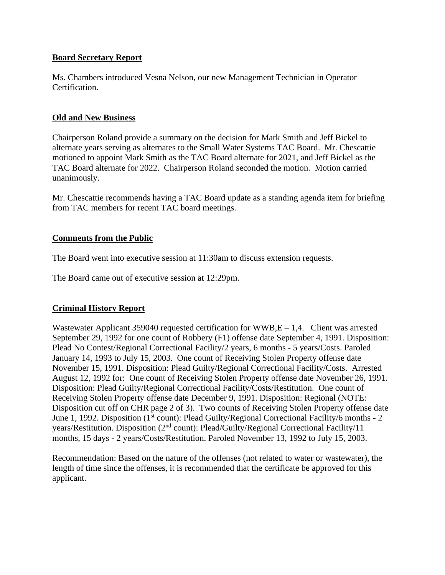### **Board Secretary Report**

Ms. Chambers introduced Vesna Nelson, our new Management Technician in Operator Certification.

## **Old and New Business**

Chairperson Roland provide a summary on the decision for Mark Smith and Jeff Bickel to alternate years serving as alternates to the Small Water Systems TAC Board. Mr. Chescattie motioned to appoint Mark Smith as the TAC Board alternate for 2021, and Jeff Bickel as the TAC Board alternate for 2022. Chairperson Roland seconded the motion. Motion carried unanimously.

Mr. Chescattie recommends having a TAC Board update as a standing agenda item for briefing from TAC members for recent TAC board meetings.

### **Comments from the Public**

The Board went into executive session at 11:30am to discuss extension requests.

The Board came out of executive session at 12:29pm.

# **Criminal History Report**

Wastewater Applicant 359040 requested certification for  $WWB,E - 1.4$ . Client was arrested September 29, 1992 for one count of Robbery (F1) offense date September 4, 1991. Disposition: Plead No Contest/Regional Correctional Facility/2 years, 6 months - 5 years/Costs. Paroled January 14, 1993 to July 15, 2003. One count of Receiving Stolen Property offense date November 15, 1991. Disposition: Plead Guilty/Regional Correctional Facility/Costs. Arrested August 12, 1992 for: One count of Receiving Stolen Property offense date November 26, 1991. Disposition: Plead Guilty/Regional Correctional Facility/Costs/Restitution. One count of Receiving Stolen Property offense date December 9, 1991. Disposition: Regional (NOTE: Disposition cut off on CHR page 2 of 3). Two counts of Receiving Stolen Property offense date June 1, 1992. Disposition (1<sup>st</sup> count): Plead Guilty/Regional Correctional Facility/6 months - 2 years/Restitution. Disposition (2nd count): Plead/Guilty/Regional Correctional Facility/11 months, 15 days - 2 years/Costs/Restitution. Paroled November 13, 1992 to July 15, 2003.

Recommendation: Based on the nature of the offenses (not related to water or wastewater), the length of time since the offenses, it is recommended that the certificate be approved for this applicant.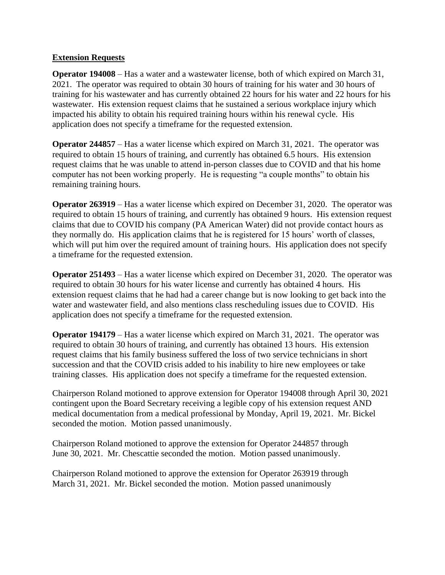### **Extension Requests**

**Operator 194008** – Has a water and a wastewater license, both of which expired on March 31, 2021. The operator was required to obtain 30 hours of training for his water and 30 hours of training for his wastewater and has currently obtained 22 hours for his water and 22 hours for his wastewater. His extension request claims that he sustained a serious workplace injury which impacted his ability to obtain his required training hours within his renewal cycle. His application does not specify a timeframe for the requested extension.

**Operator 244857** – Has a water license which expired on March 31, 2021. The operator was required to obtain 15 hours of training, and currently has obtained 6.5 hours. His extension request claims that he was unable to attend in-person classes due to COVID and that his home computer has not been working properly. He is requesting "a couple months" to obtain his remaining training hours.

**Operator 263919** – Has a water license which expired on December 31, 2020. The operator was required to obtain 15 hours of training, and currently has obtained 9 hours. His extension request claims that due to COVID his company (PA American Water) did not provide contact hours as they normally do. His application claims that he is registered for 15 hours' worth of classes, which will put him over the required amount of training hours. His application does not specify a timeframe for the requested extension.

**Operator 251493** – Has a water license which expired on December 31, 2020. The operator was required to obtain 30 hours for his water license and currently has obtained 4 hours. His extension request claims that he had had a career change but is now looking to get back into the water and wastewater field, and also mentions class rescheduling issues due to COVID. His application does not specify a timeframe for the requested extension.

**Operator 194179** – Has a water license which expired on March 31, 2021. The operator was required to obtain 30 hours of training, and currently has obtained 13 hours. His extension request claims that his family business suffered the loss of two service technicians in short succession and that the COVID crisis added to his inability to hire new employees or take training classes. His application does not specify a timeframe for the requested extension.

Chairperson Roland motioned to approve extension for Operator 194008 through April 30, 2021 contingent upon the Board Secretary receiving a legible copy of his extension request AND medical documentation from a medical professional by Monday, April 19, 2021. Mr. Bickel seconded the motion. Motion passed unanimously.

Chairperson Roland motioned to approve the extension for Operator 244857 through June 30, 2021. Mr. Chescattie seconded the motion. Motion passed unanimously.

Chairperson Roland motioned to approve the extension for Operator 263919 through March 31, 2021. Mr. Bickel seconded the motion. Motion passed unanimously